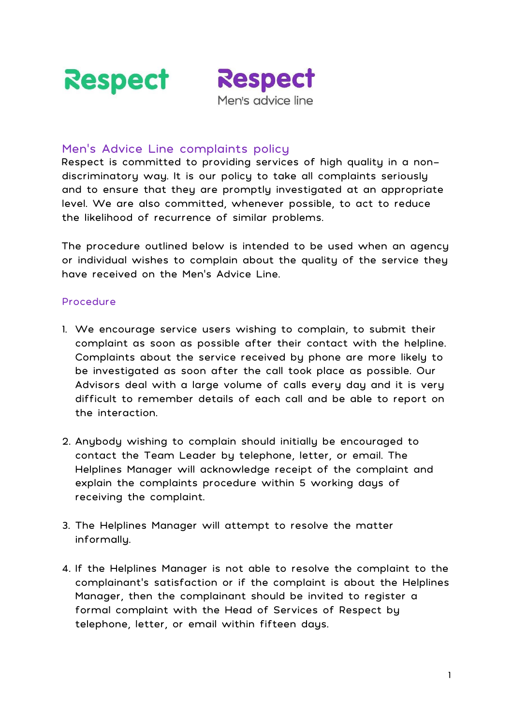



## Men's Advice Line complaints policy

Respect is committed to providing services of high quality in a nondiscriminatory way. It is our policy to take all complaints seriously and to ensure that they are promptly investigated at an appropriate level. We are also committed, whenever possible, to act to reduce the likelihood of recurrence of similar problems.

The procedure outlined below is intended to be used when an agency or individual wishes to complain about the quality of the service they have received on the Men's Advice Line.

## Procedure

- 1. We encourage service users wishing to complain, to submit their complaint as soon as possible after their contact with the helpline. Complaints about the service received by phone are more likely to be investigated as soon after the call took place as possible. Our Advisors deal with a large volume of calls every day and it is very difficult to remember details of each call and be able to report on the interaction.
- 2. Anybody wishing to complain should initially be encouraged to contact the Team Leader by telephone, letter, or email. The Helplines Manager will acknowledge receipt of the complaint and explain the complaints procedure within 5 working days of receiving the complaint.
- 3. The Helplines Manager will attempt to resolve the matter informally.
- 4. If the Helplines Manager is not able to resolve the complaint to the complainant's satisfaction or if the complaint is about the Helplines Manager, then the complainant should be invited to register a formal complaint with the Head of Services of Respect by telephone, letter, or email within fifteen days.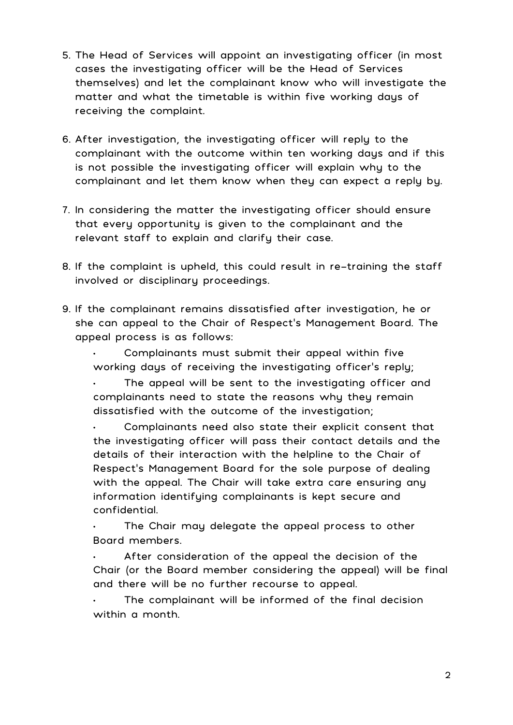- 5. The Head of Services will appoint an investigating officer (in most cases the investigating officer will be the Head of Services themselves) and let the complainant know who will investigate the matter and what the timetable is within five working days of receiving the complaint.
- 6. After investigation, the investigating officer will reply to the complainant with the outcome within ten working days and if this is not possible the investigating officer will explain why to the complainant and let them know when they can expect a reply by.
- 7. In considering the matter the investigating officer should ensure that every opportunity is given to the complainant and the relevant staff to explain and clarify their case.
- 8. If the complaint is upheld, this could result in re-training the staff involved or disciplinary proceedings.
- 9. If the complainant remains dissatisfied after investigation, he or she can appeal to the Chair of Respect's Management Board. The appeal process is as follows:

• Complainants must submit their appeal within five working days of receiving the investigating officer's reply;

The appeal will be sent to the investigating officer and complainants need to state the reasons why they remain dissatisfied with the outcome of the investigation;

• Complainants need also state their explicit consent that the investigating officer will pass their contact details and the details of their interaction with the helpline to the Chair of Respect's Management Board for the sole purpose of dealing with the appeal. The Chair will take extra care ensuring any information identifying complainants is kept secure and confidential.

The Chair may delegate the appeal process to other Board members.

After consideration of the appeal the decision of the Chair (or the Board member considering the appeal) will be final and there will be no further recourse to appeal.

The complainant will be informed of the final decision within a month.